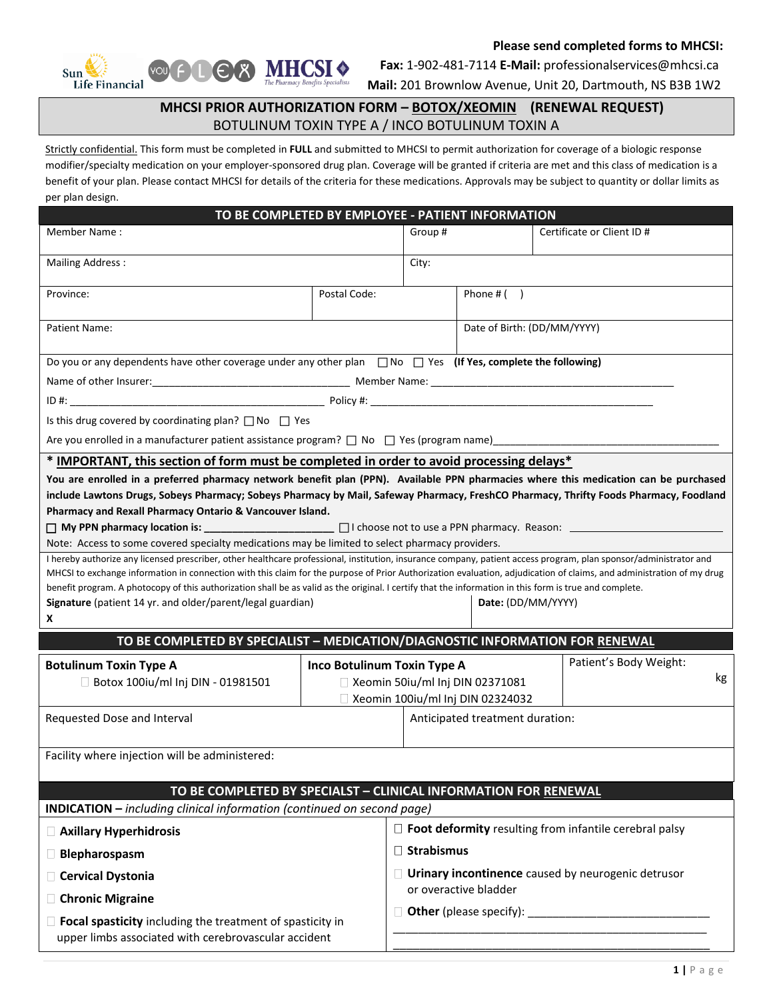

 **Please send completed forms to MHCSI:** 

 **Fax:** 1-902-481-7114 **E-Mail:** professionalservices@mhcsi.ca

**Mail:** 201 Brownlow Avenue, Unit 20, Dartmouth, NS B3B 1W2

## **MHCSI PRIOR AUTHORIZATION FORM – BOTOX/XEOMIN (RENEWAL REQUEST)** BOTULINUM TOXIN TYPE A / INCO BOTULINUM TOXIN A

Strictly confidential. This form must be completed in **FULL** and submitted to MHCSI to permit authorization for coverage of a biologic response modifier/specialty medication on your employer-sponsored drug plan. Coverage will be granted if criteria are met and this class of medication is a benefit of your plan. Please contact MHCSI for details of the criteria for these medications. Approvals may be subject to quantity or dollar limits as per plan design.

| TO BE COMPLETED BY EMPLOYEE - PATIENT INFORMATION                                                                                                                                                                                                                                                                                                                                                                                                                                                                                                                                                                                                                                                                                                                                                                                                                                                                                                                                                                                                                                                                              |                                                                       |                                                           |                                 |                             |  |  |  |  |
|--------------------------------------------------------------------------------------------------------------------------------------------------------------------------------------------------------------------------------------------------------------------------------------------------------------------------------------------------------------------------------------------------------------------------------------------------------------------------------------------------------------------------------------------------------------------------------------------------------------------------------------------------------------------------------------------------------------------------------------------------------------------------------------------------------------------------------------------------------------------------------------------------------------------------------------------------------------------------------------------------------------------------------------------------------------------------------------------------------------------------------|-----------------------------------------------------------------------|-----------------------------------------------------------|---------------------------------|-----------------------------|--|--|--|--|
| Member Name:                                                                                                                                                                                                                                                                                                                                                                                                                                                                                                                                                                                                                                                                                                                                                                                                                                                                                                                                                                                                                                                                                                                   |                                                                       | Group#                                                    |                                 | Certificate or Client ID#   |  |  |  |  |
| <b>Mailing Address:</b>                                                                                                                                                                                                                                                                                                                                                                                                                                                                                                                                                                                                                                                                                                                                                                                                                                                                                                                                                                                                                                                                                                        |                                                                       | City:                                                     |                                 |                             |  |  |  |  |
| Province:                                                                                                                                                                                                                                                                                                                                                                                                                                                                                                                                                                                                                                                                                                                                                                                                                                                                                                                                                                                                                                                                                                                      | Postal Code:                                                          |                                                           | Phone $#( )$                    |                             |  |  |  |  |
|                                                                                                                                                                                                                                                                                                                                                                                                                                                                                                                                                                                                                                                                                                                                                                                                                                                                                                                                                                                                                                                                                                                                |                                                                       |                                                           |                                 |                             |  |  |  |  |
| Patient Name:                                                                                                                                                                                                                                                                                                                                                                                                                                                                                                                                                                                                                                                                                                                                                                                                                                                                                                                                                                                                                                                                                                                  |                                                                       |                                                           |                                 | Date of Birth: (DD/MM/YYYY) |  |  |  |  |
| Do you or any dependents have other coverage under any other plan $\Box$ No $\Box$ Yes (If Yes, complete the following)                                                                                                                                                                                                                                                                                                                                                                                                                                                                                                                                                                                                                                                                                                                                                                                                                                                                                                                                                                                                        |                                                                       |                                                           |                                 |                             |  |  |  |  |
|                                                                                                                                                                                                                                                                                                                                                                                                                                                                                                                                                                                                                                                                                                                                                                                                                                                                                                                                                                                                                                                                                                                                |                                                                       |                                                           |                                 |                             |  |  |  |  |
|                                                                                                                                                                                                                                                                                                                                                                                                                                                                                                                                                                                                                                                                                                                                                                                                                                                                                                                                                                                                                                                                                                                                |                                                                       |                                                           |                                 |                             |  |  |  |  |
| Is this drug covered by coordinating plan? $\Box$ No $\Box$ Yes                                                                                                                                                                                                                                                                                                                                                                                                                                                                                                                                                                                                                                                                                                                                                                                                                                                                                                                                                                                                                                                                |                                                                       |                                                           |                                 |                             |  |  |  |  |
| Are you enrolled in a manufacturer patient assistance program? $\Box$ No $\Box$ Yes (program name) ___________                                                                                                                                                                                                                                                                                                                                                                                                                                                                                                                                                                                                                                                                                                                                                                                                                                                                                                                                                                                                                 |                                                                       |                                                           |                                 |                             |  |  |  |  |
| * IMPORTANT, this section of form must be completed in order to avoid processing delays*                                                                                                                                                                                                                                                                                                                                                                                                                                                                                                                                                                                                                                                                                                                                                                                                                                                                                                                                                                                                                                       |                                                                       |                                                           |                                 |                             |  |  |  |  |
| You are enrolled in a preferred pharmacy network benefit plan (PPN). Available PPN pharmacies where this medication can be purchased<br>include Lawtons Drugs, Sobeys Pharmacy; Sobeys Pharmacy by Mail, Safeway Pharmacy, FreshCO Pharmacy, Thrifty Foods Pharmacy, Foodland<br>Pharmacy and Rexall Pharmacy Ontario & Vancouver Island.<br>Note: Access to some covered specialty medications may be limited to select pharmacy providers.<br>I hereby authorize any licensed prescriber, other healthcare professional, institution, insurance company, patient access program, plan sponsor/administrator and<br>MHCSI to exchange information in connection with this claim for the purpose of Prior Authorization evaluation, adjudication of claims, and administration of my drug<br>benefit program. A photocopy of this authorization shall be as valid as the original. I certify that the information in this form is true and complete.<br>Date: (DD/MM/YYYY)<br>Signature (patient 14 yr. and older/parent/legal guardian)<br>X<br>TO BE COMPLETED BY SPECIALIST - MEDICATION/DIAGNOSTIC INFORMATION FOR RENEWAL |                                                                       |                                                           |                                 |                             |  |  |  |  |
| <b>Botulinum Toxin Type A</b>                                                                                                                                                                                                                                                                                                                                                                                                                                                                                                                                                                                                                                                                                                                                                                                                                                                                                                                                                                                                                                                                                                  | Inco Botulinum Toxin Type A                                           |                                                           |                                 | Patient's Body Weight:      |  |  |  |  |
| Botox 100iu/ml Inj DIN - 01981501                                                                                                                                                                                                                                                                                                                                                                                                                                                                                                                                                                                                                                                                                                                                                                                                                                                                                                                                                                                                                                                                                              |                                                                       |                                                           | Xeomin 50iu/ml Inj DIN 02371081 | kg                          |  |  |  |  |
| Requested Dose and Interval                                                                                                                                                                                                                                                                                                                                                                                                                                                                                                                                                                                                                                                                                                                                                                                                                                                                                                                                                                                                                                                                                                    | □ Xeomin 100iu/ml Inj DIN 02324032<br>Anticipated treatment duration: |                                                           |                                 |                             |  |  |  |  |
|                                                                                                                                                                                                                                                                                                                                                                                                                                                                                                                                                                                                                                                                                                                                                                                                                                                                                                                                                                                                                                                                                                                                |                                                                       |                                                           |                                 |                             |  |  |  |  |
| Facility where injection will be administered:                                                                                                                                                                                                                                                                                                                                                                                                                                                                                                                                                                                                                                                                                                                                                                                                                                                                                                                                                                                                                                                                                 |                                                                       |                                                           |                                 |                             |  |  |  |  |
|                                                                                                                                                                                                                                                                                                                                                                                                                                                                                                                                                                                                                                                                                                                                                                                                                                                                                                                                                                                                                                                                                                                                |                                                                       |                                                           |                                 |                             |  |  |  |  |
| TO BE COMPLETED BY SPECIALST - CLINICAL INFORMATION FOR RENEWAL<br><b>INDICATION</b> - including clinical information (continued on second page)                                                                                                                                                                                                                                                                                                                                                                                                                                                                                                                                                                                                                                                                                                                                                                                                                                                                                                                                                                               |                                                                       |                                                           |                                 |                             |  |  |  |  |
| Axillary Hyperhidrosis                                                                                                                                                                                                                                                                                                                                                                                                                                                                                                                                                                                                                                                                                                                                                                                                                                                                                                                                                                                                                                                                                                         | $\Box$ Foot deformity resulting from infantile cerebral palsy         |                                                           |                                 |                             |  |  |  |  |
| $\Box$ Blepharospasm                                                                                                                                                                                                                                                                                                                                                                                                                                                                                                                                                                                                                                                                                                                                                                                                                                                                                                                                                                                                                                                                                                           |                                                                       | $\Box$ Strabismus                                         |                                 |                             |  |  |  |  |
| Cervical Dystonia                                                                                                                                                                                                                                                                                                                                                                                                                                                                                                                                                                                                                                                                                                                                                                                                                                                                                                                                                                                                                                                                                                              |                                                                       | $\Box$ Urinary incontinence caused by neurogenic detrusor |                                 |                             |  |  |  |  |
| □ Chronic Migraine                                                                                                                                                                                                                                                                                                                                                                                                                                                                                                                                                                                                                                                                                                                                                                                                                                                                                                                                                                                                                                                                                                             |                                                                       | or overactive bladder                                     |                                 |                             |  |  |  |  |
| $\Box$ Focal spasticity including the treatment of spasticity in<br>upper limbs associated with cerebrovascular accident                                                                                                                                                                                                                                                                                                                                                                                                                                                                                                                                                                                                                                                                                                                                                                                                                                                                                                                                                                                                       |                                                                       |                                                           |                                 |                             |  |  |  |  |